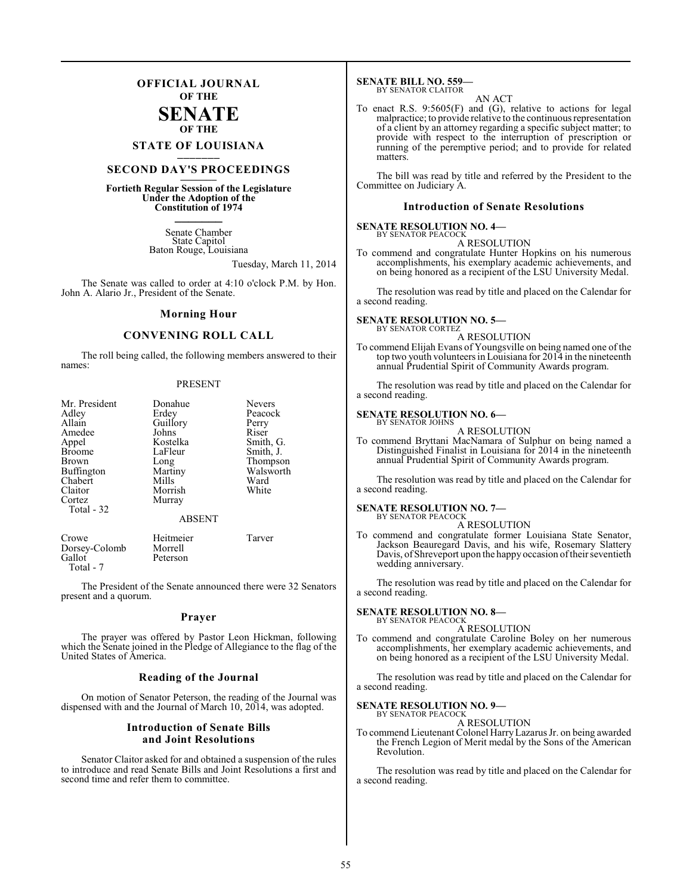### **OFFICIAL JOURNAL OF THE**

### **SENATE OF THE**

# **STATE OF LOUISIANA \_\_\_\_\_\_\_**

### **SECOND DAY'S PROCEEDINGS \_\_\_\_\_\_\_**

**Fortieth Regular Session of the Legislature Under the Adoption of the Constitution of 1974 \_\_\_\_\_\_\_**

> Senate Chamber State Capitol Baton Rouge, Louisiana

> > Tuesday, March 11, 2014

The Senate was called to order at 4:10 o'clock P.M. by Hon. John A. Alario Jr., President of the Senate.

### **Morning Hour**

### **CONVENING ROLL CALL**

The roll being called, the following members answered to their names:

### PRESENT

| Mr. President<br>Adley<br>Allain<br>Amedee<br>Appel<br><b>Broome</b><br><b>Brown</b><br><b>Buffington</b><br>Chabert<br>Claitor<br>Cortez<br>Total - 32 | Donahue<br>Erdey<br>Guillory<br>Johns<br>Kostelka<br>LaFleur<br>Long<br>Martiny<br>Mills<br>Morrish<br>Murray<br><b>ABSENT</b> | <b>Nevers</b><br>Peacock<br>Perry<br>Riser<br>Smith, G.<br>Smith, J.<br>Thompson<br>Walsworth<br>Ward<br>White |
|---------------------------------------------------------------------------------------------------------------------------------------------------------|--------------------------------------------------------------------------------------------------------------------------------|----------------------------------------------------------------------------------------------------------------|
|                                                                                                                                                         |                                                                                                                                |                                                                                                                |

| Crowe         | Heitmeier | Tarver |
|---------------|-----------|--------|
| Dorsey-Colomb | Morrell   |        |
| Gallot        | Peterson  |        |
| Total - 7     |           |        |

The President of the Senate announced there were 32 Senators present and a quorum.

### **Prayer**

The prayer was offered by Pastor Leon Hickman, following which the Senate joined in the Pledge of Allegiance to the flag of the United States of America.

### **Reading of the Journal**

On motion of Senator Peterson, the reading of the Journal was dispensed with and the Journal of March 10, 2014, was adopted.

### **Introduction of Senate Bills and Joint Resolutions**

Senator Claitor asked for and obtained a suspension of the rules to introduce and read Senate Bills and Joint Resolutions a first and second time and refer them to committee.

#### **SENATE BILL NO. 559—** BY SENATOR CLAITOR

AN ACT

To enact R.S. 9:5605(F) and (G), relative to actions for legal malpractice; to provide relative to the continuous representation of a client by an attorney regarding a specific subject matter; to provide with respect to the interruption of prescription or running of the peremptive period; and to provide for related matters.

The bill was read by title and referred by the President to the Committee on Judiciary A.

### **Introduction of Senate Resolutions**

### **SENATE RESOLUTION NO. 4—**

BY SENATOR PEACOCK A RESOLUTION

To commend and congratulate Hunter Hopkins on his numerous accomplishments, his exemplary academic achievements, and on being honored as a recipient of the LSU University Medal.

The resolution was read by title and placed on the Calendar for a second reading.

#### **SENATE RESOLUTION NO. 5—** BY SENATOR CORTEZ

A RESOLUTION

To commend Elijah Evans of Youngsville on being named one of the top two youth volunteers in Louisiana for 2014 in the nineteenth annual Prudential Spirit of Community Awards program.

The resolution was read by title and placed on the Calendar for a second reading.

#### **SENATE RESOLUTION NO. 6—** BY SENATOR JOHNS

### A RESOLUTION

To commend Bryttani MacNamara of Sulphur on being named a Distinguished Finalist in Louisiana for 2014 in the nineteenth annual Prudential Spirit of Community Awards program.

The resolution was read by title and placed on the Calendar for a second reading.

### **SENATE RESOLUTION NO. 7—** BY SENATOR PEACOCK

A RESOLUTION

To commend and congratulate former Louisiana State Senator, Jackson Beauregard Davis, and his wife, Rosemary Slattery Davis, of Shreveport upon the happy occasion of their seventieth wedding anniversary.

The resolution was read by title and placed on the Calendar for a second reading.

#### **SENATE RESOLUTION NO. 8—** BY SENATOR PEACOCK

A RESOLUTION

To commend and congratulate Caroline Boley on her numerous accomplishments, her exemplary academic achievements, and on being honored as a recipient of the LSU University Medal.

The resolution was read by title and placed on the Calendar for a second reading.

#### **SENATE RESOLUTION NO. 9—** BY SENATOR PEACOCK

A RESOLUTION

To commend Lieutenant Colonel HarryLazarus Jr. on being awarded the French Legion of Merit medal by the Sons of the American Revolution.

The resolution was read by title and placed on the Calendar for a second reading.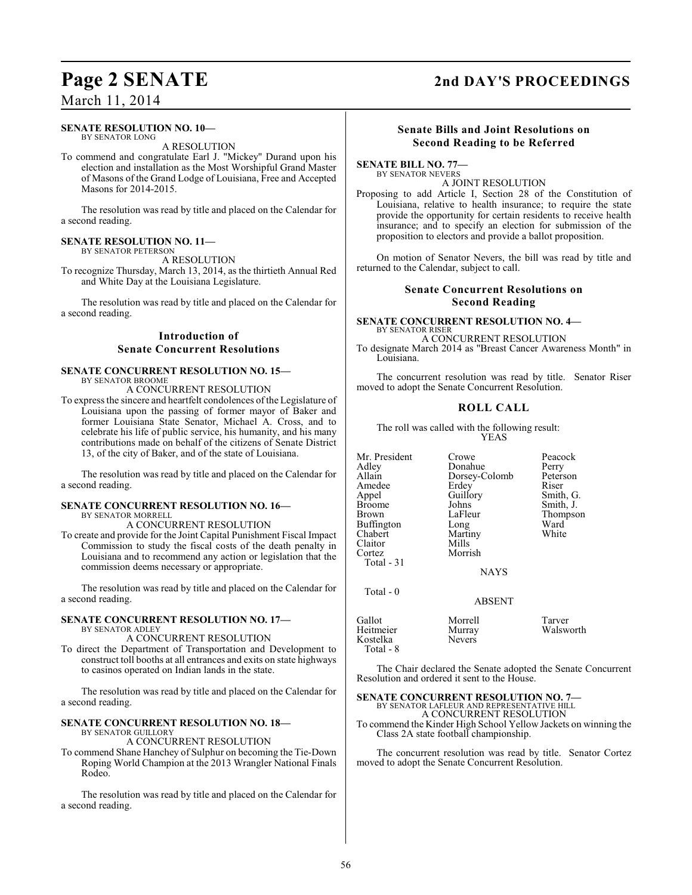### March 11, 2014

### **SENATE RESOLUTION NO. 10—**

BY SENATOR LONG A RESOLUTION

To commend and congratulate Earl J. "Mickey" Durand upon his election and installation as the Most Worshipful Grand Master of Masons of the Grand Lodge of Louisiana, Free and Accepted Masons for 2014-2015.

The resolution was read by title and placed on the Calendar for a second reading.

### **SENATE RESOLUTION NO. 11—** BY SENATOR PETERSON

A RESOLUTION

To recognize Thursday, March 13, 2014, as the thirtieth Annual Red and White Day at the Louisiana Legislature.

The resolution was read by title and placed on the Calendar for a second reading.

### **Introduction of Senate Concurrent Resolutions**

### **SENATE CONCURRENT RESOLUTION NO. 15—** BY SENATOR BROOME

A CONCURRENT RESOLUTION

To express the sincere and heartfelt condolences ofthe Legislature of Louisiana upon the passing of former mayor of Baker and former Louisiana State Senator, Michael A. Cross, and to celebrate his life of public service, his humanity, and his many contributions made on behalf of the citizens of Senate District 13, of the city of Baker, and of the state of Louisiana.

The resolution was read by title and placed on the Calendar for a second reading.

### **SENATE CONCURRENT RESOLUTION NO. 16—** BY SENATOR MORRELL

A CONCURRENT RESOLUTION

To create and provide for the Joint Capital Punishment Fiscal Impact Commission to study the fiscal costs of the death penalty in Louisiana and to recommend any action or legislation that the commission deems necessary or appropriate.

The resolution was read by title and placed on the Calendar for a second reading.

### **SENATE CONCURRENT RESOLUTION NO. 17—**

BY SENATOR ADLEY A CONCURRENT RESOLUTION

To direct the Department of Transportation and Development to construct toll booths at all entrances and exits on state highways to casinos operated on Indian lands in the state.

The resolution was read by title and placed on the Calendar for a second reading.

### **SENATE CONCURRENT RESOLUTION NO. 18—**

BY SENATOR GUILLORY

A CONCURRENT RESOLUTION

To commend Shane Hanchey of Sulphur on becoming the Tie-Down Roping World Champion at the 2013 Wrangler National Finals Rodeo.

The resolution was read by title and placed on the Calendar for a second reading.

## **Page 2 SENATE 2nd DAY'S PROCEEDINGS**

### **Senate Bills and Joint Resolutions on Second Reading to be Referred**

### **SENATE BILL NO. 77—** BY SENATOR NEVERS

A JOINT RESOLUTION

Proposing to add Article I, Section 28 of the Constitution of Louisiana, relative to health insurance; to require the state provide the opportunity for certain residents to receive health insurance; and to specify an election for submission of the proposition to electors and provide a ballot proposition.

On motion of Senator Nevers, the bill was read by title and returned to the Calendar, subject to call.

### **Senate Concurrent Resolutions on Second Reading**

#### **SENATE CONCURRENT RESOLUTION NO. 4—** BY SENATOR RISER A CONCURRENT RESOLUTION

To designate March 2014 as "Breast Cancer Awareness Month" in Louisiana

The concurrent resolution was read by title. Senator Riser moved to adopt the Senate Concurrent Resolution.

### **ROLL CALL**

The roll was called with the following result: YEAS

Martiny<br>Mills

Morrish

Mr. President Crowe Peacock<br>Adley Donahue Perry Adley **Donahue** Perry<br>Allain Dorsey-Colomb Peterson Amedee Erdey<br>
Appel Guillory Appel Guillory Smith, G.<br>Broome Johns Smith, J. Broome Johns Smith, J.<br>Brown LaFleur Thompso Buffington Long Ward<br>
Chabert Martiny White Claitor<br>Cortez Total - 31

Total - 0

Kostelka Total - 8 Dorsey-Colomb Peters<br>Erdey Riser LaFleur Thompson<br>Long Ward

NAYS

ABSENT

Gallot Morrell Tarver Murray Walsworth<br>Nevers

The Chair declared the Senate adopted the Senate Concurrent Resolution and ordered it sent to the House.

### **SENATE CONCURRENT RESOLUTION NO. 7—**

BY SENATOR LAFLEUR AND REPRESENTATIVE HILL A CONCURRENT RESOLUTION

To commend the Kinder High School Yellow Jackets on winning the Class 2A state football championship.

The concurrent resolution was read by title. Senator Cortez moved to adopt the Senate Concurrent Resolution.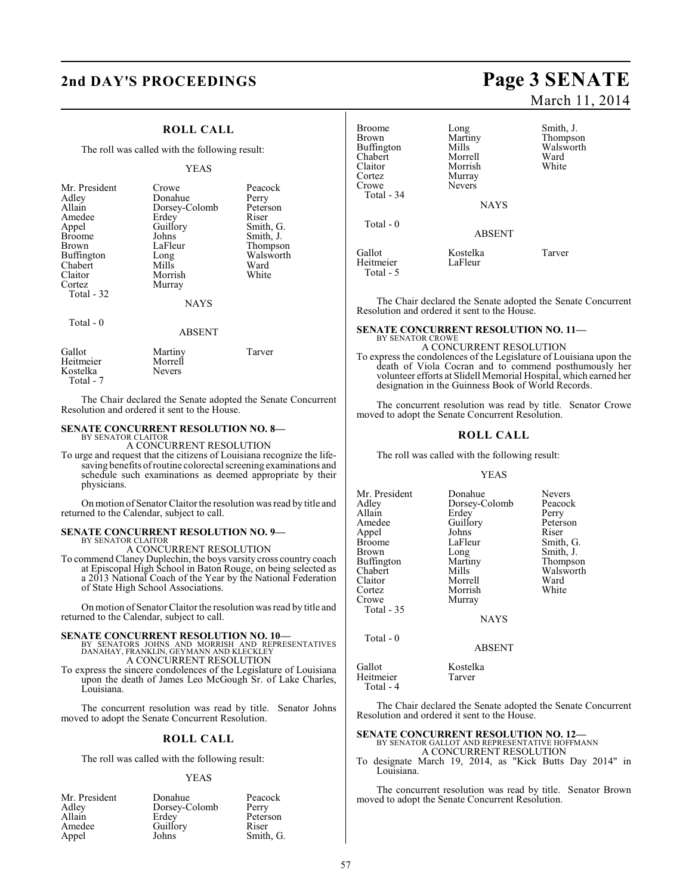### **2nd DAY'S PROCEEDINGS Page 3 SENATE**

### **ROLL CALL**

The roll was called with the following result:

### YEAS

| Mr. President<br>Adley<br>Allain<br>Amedee<br>Appel<br><b>Broome</b><br><b>Brown</b><br><b>Buffington</b><br>Chabert<br>Claitor<br>Cortez<br>Total - 32 | Crowe<br>Donahue<br>Dorsey-Colomb<br>Erdey<br>Guillory<br>Johns<br>LaFleur<br>Long<br>Mills<br>Morrish<br>Murray<br><b>NAYS</b> | Peacock<br>Perry<br>Peterson<br>Riser<br>Smith, G.<br>Smith, J.<br>Thompson<br>Walsworth<br>Ward<br>White |
|---------------------------------------------------------------------------------------------------------------------------------------------------------|---------------------------------------------------------------------------------------------------------------------------------|-----------------------------------------------------------------------------------------------------------|
| Total $-0$                                                                                                                                              | <b>ABSENT</b>                                                                                                                   |                                                                                                           |
| --                                                                                                                                                      |                                                                                                                                 |                                                                                                           |

| Gallot<br>Heitmeier<br>Kostelka | Martiny<br>Morrell<br><b>Nevers</b> | Tarver |
|---------------------------------|-------------------------------------|--------|
| Total - 7                       |                                     |        |

The Chair declared the Senate adopted the Senate Concurrent Resolution and ordered it sent to the House.

### **SENATE CONCURRENT RESOLUTION NO. 8—**

BY SENATOR CLAITOR A CONCURRENT RESOLUTION

To urge and request that the citizens of Louisiana recognize the lifesaving benefits ofroutine colorectal screening examinations and schedule such examinations as deemed appropriate by their physicians.

On motion of Senator Claitor the resolution was read by title and returned to the Calendar, subject to call.

### **SENATE CONCURRENT RESOLUTION NO. 9—** BY SENATOR CLAITOR

A CONCURRENT RESOLUTION

To commend Claney Duplechin, the boys varsity cross country coach at Episcopal High School in Baton Rouge, on being selected as a 2013 National Coach of the Year by the National Federation of State High School Associations.

On motion of Senator Claitor the resolution was read by title and returned to the Calendar, subject to call.

### **SENATE CONCURRENT RESOLUTION NO. 10—**

BY SENATORS JOHNS AND MORRISH AND REPRESENTATIVES DANAHAY, FRANKLIN, GEYMANN AND KLECKLEY A CONCURRENT RESOLUTION

To express the sincere condolences of the Legislature of Louisiana upon the death of James Leo McGough Sr. of Lake Charles, Louisiana.

The concurrent resolution was read by title. Senator Johns moved to adopt the Senate Concurrent Resolution.

### **ROLL CALL**

The roll was called with the following result:

### YEAS

| Mr. President | Donahue       | Peacock   |
|---------------|---------------|-----------|
| Adley         | Dorsey-Colomb | Perry     |
| Allain        | Erdey         | Peterson  |
| Amedee        | Guillory      | Riser     |
| Appel         | Johns         | Smith, G. |

# March 11, 2014

| Broome<br>Brown<br>Buffington<br>Chabert<br>Claitor<br>Cortez<br>Crowe<br>Total - 34 | Long<br>Martiny<br>Mills<br>Morrell<br>Morrish<br>Murray<br><b>Nevers</b> | Smith, J.<br>Thompson<br>Walsworth<br>Ward<br>White |
|--------------------------------------------------------------------------------------|---------------------------------------------------------------------------|-----------------------------------------------------|
|                                                                                      | <b>NAYS</b>                                                               |                                                     |
| Total - 0                                                                            | <b>ABSENT</b>                                                             |                                                     |
| Gallot<br>Heitmeier<br>Total - 5                                                     | Kostelka<br>LaFleur                                                       | Tarver                                              |

The Chair declared the Senate adopted the Senate Concurrent Resolution and ordered it sent to the House.

### **SENATE CONCURRENT RESOLUTION NO. 11—**

BY SENATOR CROWE A CONCURRENT RESOLUTION To express the condolences of the Legislature of Louisiana upon the death of Viola Cocran and to commend posthumously her volunteer efforts at Slidell Memorial Hospital, which earned her designation in the Guinness Book of World Records.

The concurrent resolution was read by title. Senator Crowe moved to adopt the Senate Concurrent Resolution.

### **ROLL CALL**

The roll was called with the following result:

### YEAS

| Mr. President | Donahue       | <b>Nevers</b> |
|---------------|---------------|---------------|
| Adlev         | Dorsey-Colomb | Peacock       |
| Allain        | Erdey         | Perry         |
| Amedee        | Guillory      | Peterson      |
| Appel         | Johns         | Riser         |
| Broome        | LaFleur       | Smith, G.     |
| Brown         | Long          | Smith, J.     |
| Buffington    | Martiny       | Thompson      |
| Chabert       | Mills         | Walsworth     |
| Claitor       | Morrell       | Ward          |
| Cortez        | Morrish       | White         |
| Crowe         | Murray        |               |
| Total - 35    |               |               |
|               | <b>NAYS</b>   |               |
| Total - 0     |               |               |
|               | ABSENT        |               |

Gallot Kostelka<br>Heitmeier Tarver Heitmeier Total - 4

The Chair declared the Senate adopted the Senate Concurrent Resolution and ordered it sent to the House.

### **SENATE CONCURRENT RESOLUTION NO. 12—** BY SENATOR GALLOT AND REPRESENTATIVE HOFFMANN

A CONCURRENT RESOLUTION To designate March 19, 2014, as "Kick Butts Day 2014" in Louisiana.

The concurrent resolution was read by title. Senator Brown moved to adopt the Senate Concurrent Resolution.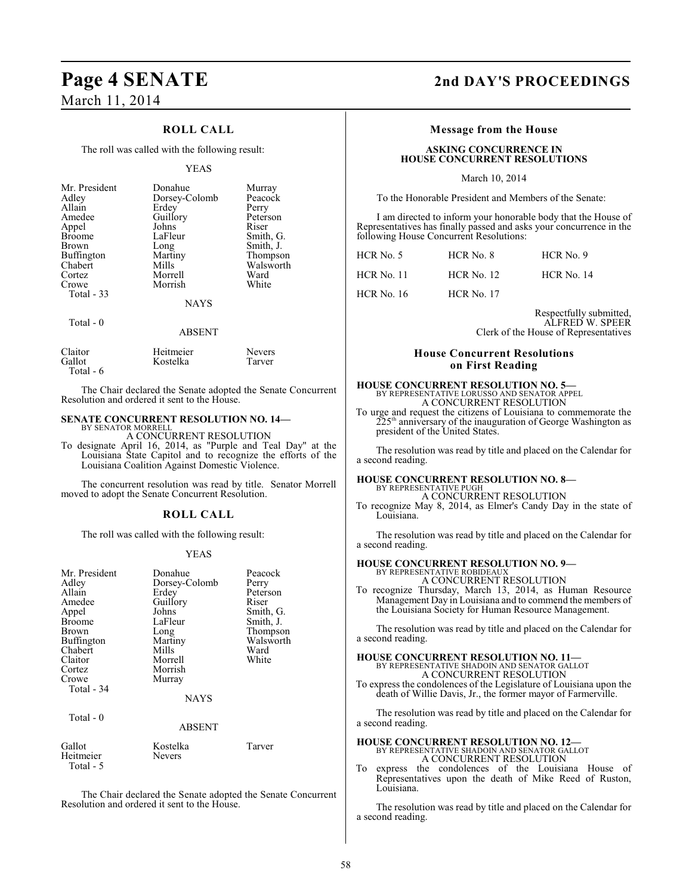### **Page 4 SENATE 2nd DAY'S PROCEEDINGS** March 11, 2014

### **ROLL CALL**

The roll was called with the following result:

### YEAS

| Mr. President<br>Adley<br>Allain<br>Amedee<br>Appel<br><b>Broome</b><br>Brown<br>Buffington<br>Chabert<br>Cortez<br>Crowe<br>Total - 33 | Donahue<br>Dorsey-Colomb<br>Erdey<br>Guillory<br>Johns<br>LaFleur<br>Long<br>Martiny<br>Mills<br>Morrell<br>Morrish | Murray<br>Peacock<br>Perry<br>Peterson<br>Riser<br>Smith, G.<br>Smith, J.<br>Thompson<br>Walsworth<br>Ward<br>White |
|-----------------------------------------------------------------------------------------------------------------------------------------|---------------------------------------------------------------------------------------------------------------------|---------------------------------------------------------------------------------------------------------------------|
|                                                                                                                                         | <b>NAYS</b>                                                                                                         |                                                                                                                     |
| Total $-0$                                                                                                                              | ABSENT                                                                                                              |                                                                                                                     |

| Claitor   | Heitmeier | <b>Nevers</b> |
|-----------|-----------|---------------|
| Gallot    | Kostelka  | Tarver        |
| Total - 6 |           |               |

The Chair declared the Senate adopted the Senate Concurrent Resolution and ordered it sent to the House.

#### **SENATE CONCURRENT RESOLUTION NO. 14—** BY SENATOR MORRELL

A CONCURRENT RESOLUTION

To designate April 16, 2014, as "Purple and Teal Day" at the Louisiana State Capitol and to recognize the efforts of the Louisiana Coalition Against Domestic Violence.

The concurrent resolution was read by title. Senator Morrell moved to adopt the Senate Concurrent Resolution.

### **ROLL CALL**

The roll was called with the following result:

### YEAS

| Mr. President<br>Adley<br>Allain<br>Amedee<br>Appel<br><b>Broome</b><br>Brown<br>Buffington<br>Chabert<br>Claitor<br>Cortez<br>Crowe<br>Total - 34 | Donahue<br>Dorsey-Colomb<br>Erdey<br>Guillory<br>Johns<br>LaFleur<br>Long<br>Martiny<br>Mills<br>Morrell<br>Morrish<br>Murray<br><b>NAYS</b> | Peacock<br>Perry<br>Peterson<br>Riser<br>Smith, G.<br>Smith, J.<br>Thompson<br>Walsworth<br>Ward<br>White |
|----------------------------------------------------------------------------------------------------------------------------------------------------|----------------------------------------------------------------------------------------------------------------------------------------------|-----------------------------------------------------------------------------------------------------------|
| Total $-0$                                                                                                                                         | <b>ABSENT</b>                                                                                                                                |                                                                                                           |
| Gallot<br>Heitmeier<br>Total - 5                                                                                                                   | Kostelka<br>Nevers                                                                                                                           | Tarver                                                                                                    |

The Chair declared the Senate adopted the Senate Concurrent Resolution and ordered it sent to the House.

### **Message from the House**

### **ASKING CONCURRENCE IN HOUSE CONCURRENT RESOLUTIONS**

March 10, 2014

To the Honorable President and Members of the Senate:

I am directed to inform your honorable body that the House of Representatives has finally passed and asks your concurrence in the following House Concurrent Resolutions:

| HCR No. 5  | HCR No. 8         | $HCR$ No. 9       |  |
|------------|-------------------|-------------------|--|
| HCR No. 11 | <b>HCR</b> No. 12 | <b>HCR No. 14</b> |  |
| HCR No. 16 | <b>HCR No. 17</b> |                   |  |

Respectfully submitted, ALFRED W. SPEER Clerk of the House of Representatives

### **House Concurrent Resolutions on First Reading**

### **HOUSE CONCURRENT RESOLUTION NO. 5—** BY REPRESENTATIVE LORUSSO AND SENATOR APPEL A CONCURRENT RESOLUTION

To urge and request the citizens of Louisiana to commemorate the  $225<sup>th</sup>$  anniversary of the inauguration of George Washington as president of the United States.

The resolution was read by title and placed on the Calendar for a second reading.

### **HOUSE CONCURRENT RESOLUTION NO. 8—** BY REPRESENTATIVE PUGH

A CONCURRENT RESOLUTION

To recognize May 8, 2014, as Elmer's Candy Day in the state of Louisiana.

The resolution was read by title and placed on the Calendar for a second reading.

### **HOUSE CONCURRENT RESOLUTION NO. 9—**

BY REPRESENTATIVE ROBIDEAUX A CONCURRENT RESOLUTION

To recognize Thursday, March 13, 2014, as Human Resource Management Day in Louisiana and to commend the members of the Louisiana Society for Human Resource Management.

The resolution was read by title and placed on the Calendar for a second reading.

### **HOUSE CONCURRENT RESOLUTION NO. 11—** BY REPRESENTATIVE SHADOIN AND SENATOR GALLOT A CONCURRENT RESOLUTION

To express the condolences of the Legislature of Louisiana upon the death of Willie Davis, Jr., the former mayor of Farmerville.

The resolution was read by title and placed on the Calendar for a second reading.

**HOUSE CONCURRENT RESOLUTION NO. 12—** BY REPRESENTATIVE SHADOIN AND SENATOR GALLOT A CONCURRENT RESOLUTION

To express the condolences of the Louisiana House of Representatives upon the death of Mike Reed of Ruston, Louisiana.

The resolution was read by title and placed on the Calendar for a second reading.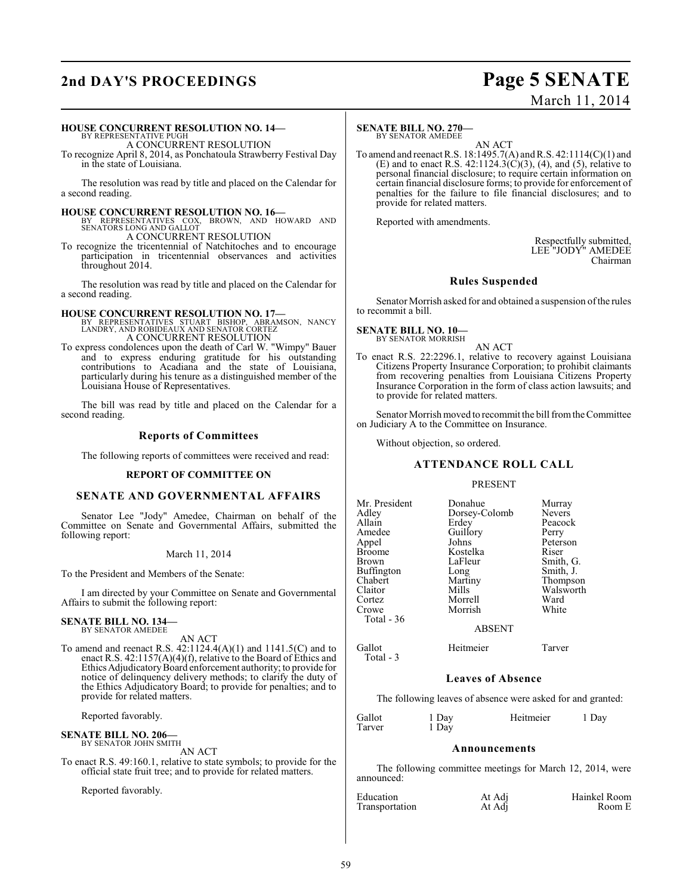## **2nd DAY'S PROCEEDINGS Page 5 SENATE**

# March 11, 2014

### **HOUSE CONCURRENT RESOLUTION NO. 14—**

BY REPRESENTATIVE PUGH A CONCURRENT RESOLUTION

To recognize April 8, 2014, as Ponchatoula Strawberry Festival Day in the state of Louisiana.

The resolution was read by title and placed on the Calendar for a second reading.

### **HOUSE CONCURRENT RESOLUTION NO. 16—**

BY REPRESENTATIVES COX, BROWN, AND HOWARD AND SENATORS LONG AND GALLOT A CONCURRENT RESOLUTION

To recognize the tricentennial of Natchitoches and to encourage participation in tricentennial observances and activities throughout 2014.

The resolution was read by title and placed on the Calendar for a second reading.

## **HOUSE CONCURRENT RESOLUTION NO. 17—** BY REPRESENTATIVES STUART BISHOP, ABRAMSON, NANCY LANDRY, AND ROBIDEAUX AND SENATOR CORTEZ A CONCURRENT RESOLUTION

To express condolences upon the death of Carl W. "Wimpy" Bauer and to express enduring gratitude for his outstanding contributions to Acadiana and the state of Louisiana, particularly during his tenure as a distinguished member of the Louisiana House of Representatives.

The bill was read by title and placed on the Calendar for a second reading.

### **Reports of Committees**

The following reports of committees were received and read:

### **REPORT OF COMMITTEE ON**

### **SENATE AND GOVERNMENTAL AFFAIRS**

Senator Lee "Jody" Amedee, Chairman on behalf of the Committee on Senate and Governmental Affairs, submitted the following report:

### March 11, 2014

To the President and Members of the Senate:

I am directed by your Committee on Senate and Governmental Affairs to submit the following report:

### **SENATE BILL NO. 134—** BY SENATOR AMEDEE

AN ACT

To amend and reenact R.S. 42:1124.4(A)(1) and 1141.5(C) and to enact R.S. 42:1157(A)(4)(f), relative to the Board of Ethics and Ethics Adjudicatory Board enforcement authority; to provide for notice of delinquency delivery methods; to clarify the duty of the Ethics Adjudicatory Board; to provide for penalties; and to provide for related matters.

Reported favorably.

## **SENATE BILL NO. 206—** BY SENATOR JOHN SMITH

AN ACT

To enact R.S. 49:160.1, relative to state symbols; to provide for the official state fruit tree; and to provide for related matters.

Reported favorably.

#### **SENATE BILL NO. 270—** BY SENATOR AMEDEE

AN ACT To amend and reenact R.S. 18:1495.7(A) and R.S. 42:1114(C)(1) and (E) and to enact R.S. 42:1124.3( $\check{C}$ )(3), (4), and (5), relative to personal financial disclosure; to require certain information on certain financial disclosure forms; to provide for enforcement of penalties for the failure to file financial disclosures; and to provide for related matters.

Reported with amendments.

Respectfully submitted, LEE "JODY" AMEDEE Chairman

### **Rules Suspended**

Senator Morrish asked for and obtained a suspension of the rules to recommit a bill.

**SENATE BILL NO. 10—** BY SENATOR MORRISH

AN ACT To enact R.S. 22:2296.1, relative to recovery against Louisiana Citizens Property Insurance Corporation; to prohibit claimants from recovering penalties from Louisiana Citizens Property Insurance Corporation in the form of class action lawsuits; and to provide for related matters.

Senator Morrish moved to recommit the bill from the Committee on Judiciary A to the Committee on Insurance.

Without objection, so ordered.

### **ATTENDANCE ROLL CALL**

### PRESENT

| Mr. President<br>Adley<br>Allain<br>Amedee<br>Appel<br><b>Broome</b><br>Brown<br><b>Buffington</b><br>Chabert<br>Claitor<br>Cortez | Donahue<br>Dorsey-Colomb<br>Erdey<br>Guillory<br>Johns<br>Kostelka<br>LaFleur<br>Long<br>Martiny<br>Mills<br>Morrell | Murray<br><b>Nevers</b><br>Peacock<br>Perry<br>Peterson<br>Riser<br>Smith, G.<br>Smith, J.<br>Thompson<br>Walsworth<br>Ward |
|------------------------------------------------------------------------------------------------------------------------------------|----------------------------------------------------------------------------------------------------------------------|-----------------------------------------------------------------------------------------------------------------------------|
| Crowe<br>Total $-36$                                                                                                               | Morrish<br><b>ABSENT</b>                                                                                             | White                                                                                                                       |
| Gallot                                                                                                                             | Heitmeier                                                                                                            | Tarver                                                                                                                      |

Total - 3

### **Leaves of Absence**

The following leaves of absence were asked for and granted:

| Gallot<br>Tarver | 1 Day<br>1 Day | Heitmeier | 1 Day |
|------------------|----------------|-----------|-------|
|                  |                |           |       |

### **Announcements**

The following committee meetings for March 12, 2014, were announced:

| Education      | At Adj | Hainkel Room |
|----------------|--------|--------------|
| Transportation | At Adj | Room E       |